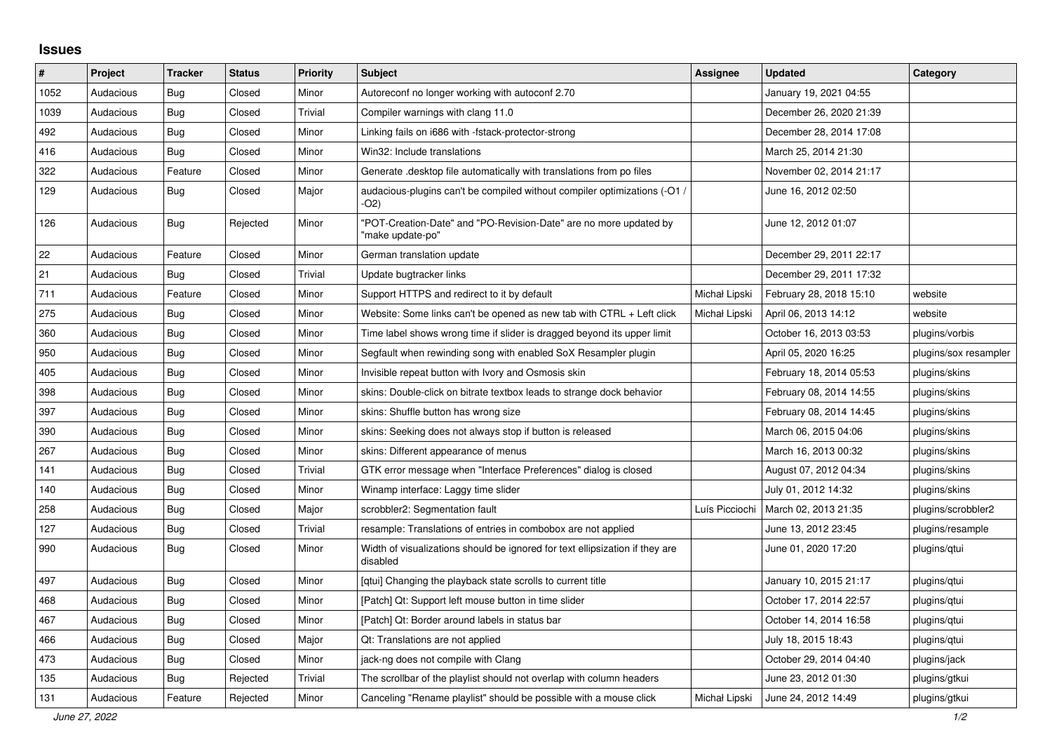## **Issues**

| #    | Project   | <b>Tracker</b> | <b>Status</b> | <b>Priority</b> | <b>Subject</b>                                                                           | <b>Assignee</b> | <b>Updated</b>          | Category              |
|------|-----------|----------------|---------------|-----------------|------------------------------------------------------------------------------------------|-----------------|-------------------------|-----------------------|
| 1052 | Audacious | Bug            | Closed        | Minor           | Autoreconf no longer working with autoconf 2.70                                          |                 | January 19, 2021 04:55  |                       |
| 1039 | Audacious | Bug            | Closed        | Trivial         | Compiler warnings with clang 11.0                                                        |                 | December 26, 2020 21:39 |                       |
| 492  | Audacious | Bug            | Closed        | Minor           | Linking fails on i686 with -fstack-protector-strong                                      |                 | December 28, 2014 17:08 |                       |
| 416  | Audacious | Bug            | Closed        | Minor           | Win32: Include translations                                                              |                 | March 25, 2014 21:30    |                       |
| 322  | Audacious | Feature        | Closed        | Minor           | Generate desktop file automatically with translations from po files                      |                 | November 02, 2014 21:17 |                       |
| 129  | Audacious | Bug            | Closed        | Major           | audacious-plugins can't be compiled without compiler optimizations (-O1)<br>-O2)         |                 | June 16, 2012 02:50     |                       |
| 126  | Audacious | Bug            | Rejected      | Minor           | POT-Creation-Date" and "PO-Revision-Date" are no more updated by<br>'make update-po"     |                 | June 12, 2012 01:07     |                       |
| 22   | Audacious | Feature        | Closed        | Minor           | German translation update                                                                |                 | December 29, 2011 22:17 |                       |
| 21   | Audacious | Bug            | Closed        | Trivial         | Update bugtracker links                                                                  |                 | December 29, 2011 17:32 |                       |
| 711  | Audacious | Feature        | Closed        | Minor           | Support HTTPS and redirect to it by default                                              | Michał Lipski   | February 28, 2018 15:10 | website               |
| 275  | Audacious | Bug            | Closed        | Minor           | Website: Some links can't be opened as new tab with CTRL + Left click                    | Michał Lipski   | April 06, 2013 14:12    | website               |
| 360  | Audacious | <b>Bug</b>     | Closed        | Minor           | Time label shows wrong time if slider is dragged beyond its upper limit                  |                 | October 16, 2013 03:53  | plugins/vorbis        |
| 950  | Audacious | Bug            | Closed        | Minor           | Segfault when rewinding song with enabled SoX Resampler plugin                           |                 | April 05, 2020 16:25    | plugins/sox resampler |
| 405  | Audacious | Bug            | Closed        | Minor           | Invisible repeat button with Ivory and Osmosis skin                                      |                 | February 18, 2014 05:53 | plugins/skins         |
| 398  | Audacious | Bug            | Closed        | Minor           | skins: Double-click on bitrate textbox leads to strange dock behavior                    |                 | February 08, 2014 14:55 | plugins/skins         |
| 397  | Audacious | Bug            | Closed        | Minor           | skins: Shuffle button has wrong size                                                     |                 | February 08, 2014 14:45 | plugins/skins         |
| 390  | Audacious | Bug            | Closed        | Minor           | skins: Seeking does not always stop if button is released                                |                 | March 06, 2015 04:06    | plugins/skins         |
| 267  | Audacious | Bug            | Closed        | Minor           | skins: Different appearance of menus                                                     |                 | March 16, 2013 00:32    | plugins/skins         |
| 141  | Audacious | <b>Bug</b>     | Closed        | Trivial         | GTK error message when "Interface Preferences" dialog is closed                          |                 | August 07, 2012 04:34   | plugins/skins         |
| 140  | Audacious | Bug            | Closed        | Minor           | Winamp interface: Laggy time slider                                                      |                 | July 01, 2012 14:32     | plugins/skins         |
| 258  | Audacious | Bug            | Closed        | Major           | scrobbler2: Segmentation fault                                                           | Luís Picciochi  | March 02, 2013 21:35    | plugins/scrobbler2    |
| 127  | Audacious | Bug            | Closed        | Trivial         | resample: Translations of entries in combobox are not applied                            |                 | June 13, 2012 23:45     | plugins/resample      |
| 990  | Audacious | Bug            | Closed        | Minor           | Width of visualizations should be ignored for text ellipsization if they are<br>disabled |                 | June 01, 2020 17:20     | plugins/gtui          |
| 497  | Audacious | <b>Bug</b>     | Closed        | Minor           | [qtui] Changing the playback state scrolls to current title                              |                 | January 10, 2015 21:17  | plugins/gtui          |
| 468  | Audacious | Bug            | Closed        | Minor           | [Patch] Qt: Support left mouse button in time slider                                     |                 | October 17, 2014 22:57  | plugins/gtui          |
| 467  | Audacious | Bug            | Closed        | Minor           | [Patch] Qt: Border around labels in status bar                                           |                 | October 14, 2014 16:58  | plugins/gtui          |
| 466  | Audacious | Bug            | Closed        | Major           | Qt: Translations are not applied                                                         |                 | July 18, 2015 18:43     | plugins/qtui          |
| 473  | Audacious | <b>Bug</b>     | Closed        | Minor           | jack-ng does not compile with Clang                                                      |                 | October 29, 2014 04:40  | plugins/jack          |
| 135  | Audacious | Bug            | Rejected      | Trivial         | The scrollbar of the playlist should not overlap with column headers                     |                 | June 23, 2012 01:30     | plugins/gtkui         |
| 131  | Audacious | Feature        | Rejected      | Minor           | Canceling "Rename playlist" should be possible with a mouse click                        | Michał Lipski   | June 24, 2012 14:49     | plugins/gtkui         |